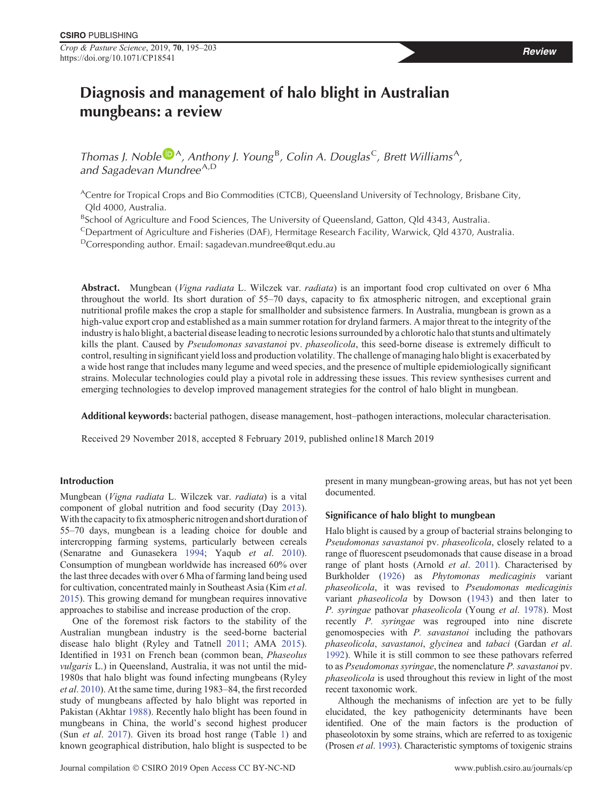Crop & Pasture Science, 2019, 70, 195–203 https://doi.org/10.1071/CP18541

# Diagnosis and management of halo blight in Australian mungbeans: a review

Thomas J. Noble  $\mathbb{D}^A$  $\mathbb{D}^A$ , Anthony J. Young<sup>B</sup>, Colin A. Douglas<sup>C</sup>, Brett Williams<sup>A</sup>, and Sagadevan Mundree<sup>A,D</sup>

ACentre for Tropical Crops and Bio Commodities (CTCB), Queensland University of Technology, Brisbane City, Qld 4000, Australia.

<sup>B</sup>School of Agriculture and Food Sciences, The University of Queensland, Gatton, Qld 4343, Australia.

CDepartment of Agriculture and Fisheries (DAF), Hermitage Research Facility, Warwick, Qld 4370, Australia.

 $D$ Corresponding author. Email: [sagadevan.mundree@qut.edu.au](mailto:sagadevan.mundree@qut.edu.au)

Abstract. Mungbean (Vigna radiata L. Wilczek var. radiata) is an important food crop cultivated on over 6 Mha throughout the world. Its short duration of 55–70 days, capacity to fix atmospheric nitrogen, and exceptional grain nutritional profile makes the crop a staple for smallholder and subsistence farmers. In Australia, mungbean is grown as a high-value export crop and established as a main summer rotation for dryland farmers. A major threat to the integrity of the industry is halo blight, a bacterial disease leading to necrotic lesions surrounded by a chlorotic halo that stunts and ultimately kills the plant. Caused by Pseudomonas savastanoi pv. phaseolicola, this seed-borne disease is extremely difficult to control, resulting in significant yield loss and production volatility. The challenge of managing halo blight is exacerbated by a wide host range that includes many legume and weed species, and the presence of multiple epidemiologically significant strains. Molecular technologies could play a pivotal role in addressing these issues. This review synthesises current and emerging technologies to develop improved management strategies for the control of halo blight in mungbean.

Additional keywords: bacterial pathogen, disease management, host–pathogen interactions, molecular characterisation.

Received 29 November 2018, accepted 8 February 2019, published online18 March 2019

# Introduction

Mungbean (Vigna radiata L. Wilczek var. radiata) is a vital component of global nutrition and food security (Day [2013\)](#page-5-0). With the capacity to fix atmospheric nitrogen and short duration of 55–70 days, mungbean is a leading choice for double and intercropping farming systems, particularly between cereals (Senaratne and Gunasekera [1994;](#page-7-0) Yaqub et al. [2010\)](#page-8-0). Consumption of mungbean worldwide has increased 60% over the last three decades with over 6 Mha of farming land being used for cultivation, concentrated mainly in Southeast Asia (Kim et al. [2015\)](#page-6-0). This growing demand for mungbean requires innovative approaches to stabilise and increase production of the crop.

One of the foremost risk factors to the stability of the Australian mungbean industry is the seed-borne bacterial disease halo blight (Ryley and Tatnell [2011](#page-7-0); AMA [2015\)](#page-5-0). Identified in 1931 on French bean (common bean, Phaseolus vulgaris L.) in Queensland, Australia, it was not until the mid-1980s that halo blight was found infecting mungbeans (Ryley et al. [2010\)](#page-7-0). At the same time, during 1983–84, the first recorded study of mungbeans affected by halo blight was reported in Pakistan (Akhtar [1988](#page-5-0)). Recently halo blight has been found in mungbeans in China, the world's second highest producer (Sun et al. [2017](#page-7-0)). Given its broad host range (Table [1](#page-1-0)) and known geographical distribution, halo blight is suspected to be

present in many mungbean-growing areas, but has not yet been documented.

# Significance of halo blight to mungbean

Halo blight is caused by a group of bacterial strains belonging to Pseudomonas savastanoi pv. phaseolicola, closely related to a range of fluorescent pseudomonads that cause disease in a broad range of plant hosts (Arnold *et al.* [2011\)](#page-5-0). Characterised by Burkholder [\(1926\)](#page-5-0) as Phytomonas medicaginis variant phaseolicola, it was revised to Pseudomonas medicaginis variant phaseolicola by Dowson ([1943](#page-5-0)) and then later to P. syringae pathovar phaseolicola (Young et al. [1978\)](#page-8-0). Most recently P. syringae was regrouped into nine discrete genomospecies with P. savastanoi including the pathovars phaseolicola, savastanoi, glycinea and tabaci (Gardan et al. [1992\)](#page-6-0). While it is still common to see these pathovars referred to as Pseudomonas syringae, the nomenclature P. savastanoi pv. phaseolicola is used throughout this review in light of the most recent taxonomic work.

Although the mechanisms of infection are yet to be fully elucidated, the key pathogenicity determinants have been identified. One of the main factors is the production of phaseolotoxin by some strains, which are referred to as toxigenic (Prosen et al. [1993](#page-7-0)). Characteristic symptoms of toxigenic strains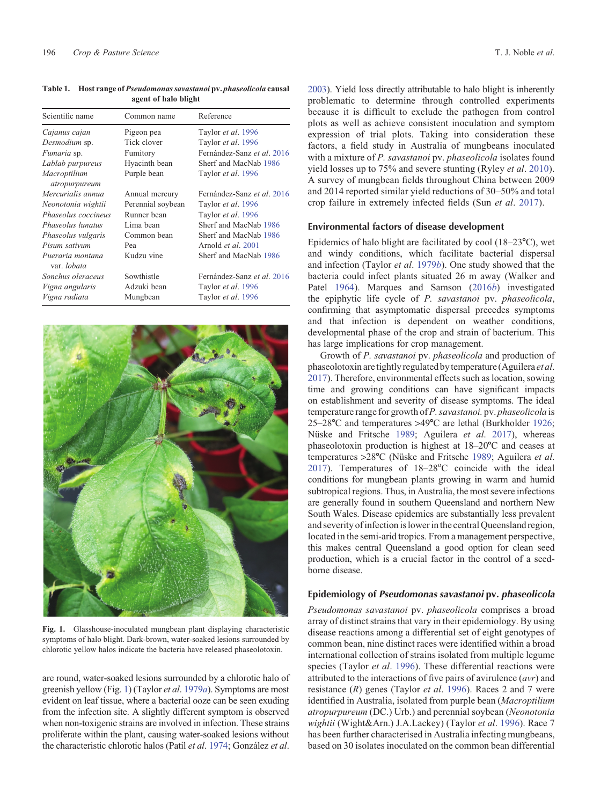| Scientific name                        | Common name       | Reference<br>Taylor et al. 1996 |  |  |
|----------------------------------------|-------------------|---------------------------------|--|--|
| Cajanus cajan                          | Pigeon pea        |                                 |  |  |
| Desmodium sp.                          | Tick clover       | Taylor et al. 1996              |  |  |
| Fumaria sp.                            | Fumitory          | Fernández-Sanz et al. 2016      |  |  |
| Lablab purpureus                       | Hyacinth bean     | Sherf and MacNab 1986           |  |  |
| Macroptilium<br>atropurpureum          | Purple bean       | Taylor et al. 1996              |  |  |
| Mercurialis annua                      | Annual mercury    | Fernández-Sanz et al. 2016      |  |  |
| Neonotonia wightii                     | Perennial soybean | Taylor et al. 1996              |  |  |
| Phaseolus coccineus                    | Runner bean       | Taylor et al. 1996              |  |  |
| Phaseolus lunatus                      | Lima bean         | Sherf and MacNab 1986           |  |  |
| Phaseolus vulgaris                     | Common bean       | Sherf and MacNab 1986           |  |  |
| Pisum sativum                          | Pea               | Arnold <i>et al.</i> 2001       |  |  |
| Pueraria montana<br>var. <i>lobata</i> | Kudzu vine        | Sherf and MacNab 1986           |  |  |
| Sonchus oleraceus                      | Sowthistle        | Fernández-Sanz et al. 2016      |  |  |
| Vigna angularis                        | Adzuki bean       | Taylor et al. 1996              |  |  |
| Vigna radiata                          | Mungbean          | Taylor et al. 1996              |  |  |

<span id="page-1-0"></span>Table 1. Host range of Pseudomonas savastanoi pv. phaseolicola causal agent of halo blight



Fig. 1. Glasshouse-inoculated mungbean plant displaying characteristic symptoms of halo blight. Dark-brown, water-soaked lesions surrounded by chlorotic yellow halos indicate the bacteria have released phaseolotoxin.

are round, water-soaked lesions surrounded by a chlorotic halo of greenish yellow (Fig. 1) (Taylor et al. [1979](#page-7-0)a). Symptoms are most evident on leaf tissue, where a bacterial ooze can be seen exuding from the infection site. A slightly different symptom is observed when non-toxigenic strains are involved in infection. These strains proliferate within the plant, causing water-soaked lesions without the characteristic chlorotic halos (Patil et al. [1974;](#page-7-0) González et al.

[2003](#page-6-0)). Yield loss directly attributable to halo blight is inherently problematic to determine through controlled experiments because it is difficult to exclude the pathogen from control plots as well as achieve consistent inoculation and symptom expression of trial plots. Taking into consideration these factors, a field study in Australia of mungbeans inoculated with a mixture of P. savastanoi pv. phaseolicola isolates found yield losses up to 75% and severe stunting (Ryley et al. [2010\)](#page-7-0). A survey of mungbean fields throughout China between 2009 and 2014 reported similar yield reductions of 30–50% and total crop failure in extremely infected fields (Sun et al. [2017\)](#page-7-0).

#### Environmental factors of disease development

Epidemics of halo blight are facilitated by cool  $(18-23^{\circ}C)$ , wet and windy conditions, which facilitate bacterial dispersal and infection (Taylor et al. [1979](#page-7-0)b). One study showed that the bacteria could infect plants situated 26 m away (Walker and Patel [1964](#page-6-0)). Marques and Samson [\(2016](#page-6-0)b) investigated the epiphytic life cycle of P. savastanoi pv. phaseolicola, confirming that asymptomatic dispersal precedes symptoms and that infection is dependent on weather conditions, developmental phase of the crop and strain of bacterium. This has large implications for crop management.

Growth of P. savastanoi pv. phaseolicola and production of phaseolotoxin are tightly regulated by temperature (Aguilera et al. [2017\)](#page-5-0). Therefore, environmental effects such as location, sowing time and growing conditions can have significant impacts on establishment and severity of disease symptoms. The ideal temperature range for growth ofP. savastanoi. pv. phaseolicola is  $25-28$ °C and temperatures >49°C are lethal (Burkholder [1926;](#page-5-0) Nüske and Fritsche [1989;](#page-7-0) Aguilera et al. [2017](#page-5-0)), whereas phaseolotoxin production is highest at  $18-20^{\circ}$ C and ceases at temperatures >28°C (Nüske and Fritsche [1989;](#page-7-0) Aguilera et al. [2017\)](#page-5-0). Temperatures of  $18-28^{\circ}$ C coincide with the ideal conditions for mungbean plants growing in warm and humid subtropical regions. Thus, in Australia, the most severe infections are generally found in southern Queensland and northern New South Wales. Disease epidemics are substantially less prevalent and severity of infection is lower in the central Queensland region, located in the semi-arid tropics. From a management perspective, this makes central Queensland a good option for clean seed production, which is a crucial factor in the control of a seedborne disease.

# Epidemiology of Pseudomonas savastanoi pv. phaseolicola

Pseudomonas savastanoi pv. phaseolicola comprises a broad array of distinct strains that vary in their epidemiology. By using disease reactions among a differential set of eight genotypes of common bean, nine distinct races were identified within a broad international collection of strains isolated from multiple legume species (Taylor et al. [1996\)](#page-7-0). These differential reactions were attributed to the interactions of five pairs of avirulence  $(avr)$  and resistance  $(R)$  genes (Taylor *et al.* [1996\)](#page-7-0). Races 2 and 7 were identified in Australia, isolated from purple bean (Macroptilium atropurpureum (DC.) Urb.) and perennial soybean (Neonotonia wightii (Wight&Arn.) J.A.Lackey) (Taylor et al. [1996](#page-7-0)). Race 7 has been further characterised in Australia infecting mungbeans, based on 30 isolates inoculated on the common bean differential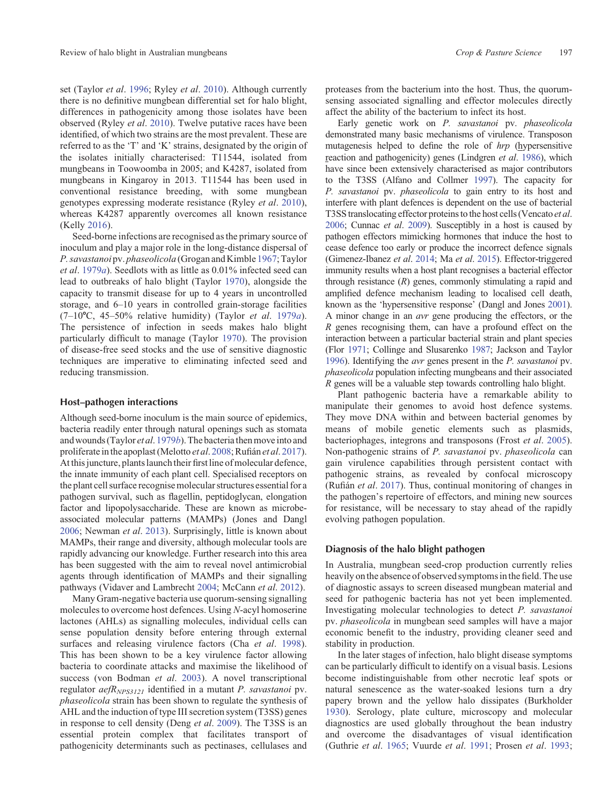set (Taylor et al. [1996;](#page-7-0) Ryley et al. [2010](#page-7-0)). Although currently there is no definitive mungbean differential set for halo blight, differences in pathogenicity among those isolates have been observed (Ryley et al. [2010](#page-7-0)). Twelve putative races have been identified, of which two strains are the most prevalent. These are referred to as the 'T' and 'K' strains, designated by the origin of the isolates initially characterised: T11544, isolated from mungbeans in Toowoomba in 2005; and K4287, isolated from mungbeans in Kingaroy in 2013. T11544 has been used in conventional resistance breeding, with some mungbean genotypes expressing moderate resistance (Ryley et al. [2010\)](#page-7-0), whereas K4287 apparently overcomes all known resistance (Kelly [2016\)](#page-6-0).

Seed-borne infections are recognised as the primary source of inoculum and play a major role in the long-distance dispersal of P. savastanoi pv. phaseolicola (Grogan and Kimble [1967](#page-6-0); Taylor et al. [1979](#page-7-0)a). Seedlots with as little as 0.01% infected seed can lead to outbreaks of halo blight (Taylor [1970\)](#page-7-0), alongside the capacity to transmit disease for up to 4 years in uncontrolled storage, and 6–10 years in controlled grain-storage facilities  $(7-10\text{°C}, 45-50\%$  relative humidity) (Taylor *et al.* [1979](#page-7-0)*a*). The persistence of infection in seeds makes halo blight particularly difficult to manage (Taylor [1970\)](#page-7-0). The provision of disease-free seed stocks and the use of sensitive diagnostic techniques are imperative to eliminating infected seed and reducing transmission.

# Host–pathogen interactions

Although seed-borne inoculum is the main source of epidemics, bacteria readily enter through natural openings such as stomata and wounds (Taylor et al. [1979](#page-7-0)b). The bacteria then move into and proliferate in the apoplast (Melotto et al. [2008;](#page-6-0) Rufián et al. [2017\)](#page-7-0). At this juncture, plants launch their first line of molecular defence, the innate immunity of each plant cell. Specialised receptors on the plant cell surface recognise molecular structures essential for a pathogen survival, such as flagellin, peptidoglycan, elongation factor and lipopolysaccharide. These are known as microbeassociated molecular patterns (MAMPs) (Jones and Dangl [2006;](#page-6-0) Newman et al. [2013\)](#page-6-0). Surprisingly, little is known about MAMPs, their range and diversity, although molecular tools are rapidly advancing our knowledge. Further research into this area has been suggested with the aim to reveal novel antimicrobial agents through identification of MAMPs and their signalling pathways (Vidaver and Lambrecht [2004;](#page-7-0) McCann et al. [2012](#page-6-0)).

Many Gram-negative bacteria use quorum-sensing signalling molecules to overcome host defences. Using N-acyl homoserine lactones (AHLs) as signalling molecules, individual cells can sense population density before entering through external surfaces and releasing virulence factors (Cha et al. [1998\)](#page-5-0). This has been shown to be a key virulence factor allowing bacteria to coordinate attacks and maximise the likelihood of success (von Bodman et al. [2003](#page-8-0)). A novel transcriptional regulator  $aefR_{NPS3121}$  identified in a mutant *P. savastanoi* pv. phaseolicola strain has been shown to regulate the synthesis of AHL and the induction of type III secretion system (T3SS) genes in response to cell density (Deng et al. [2009](#page-5-0)). The T3SS is an essential protein complex that facilitates transport of pathogenicity determinants such as pectinases, cellulases and

proteases from the bacterium into the host. Thus, the quorumsensing associated signalling and effector molecules directly affect the ability of the bacterium to infect its host.

Early genetic work on P. savastanoi pv. phaseolicola demonstrated many basic mechanisms of virulence. Transposon mutagenesis helped to define the role of hrp (hypersensitive reaction and pathogenicity) genes (Lindgren et al. [1986](#page-6-0)), which have since been extensively characterised as major contributors to the T3SS (Alfano and Collmer [1997\)](#page-5-0). The capacity for P. savastanoi pv. phaseolicola to gain entry to its host and interfere with plant defences is dependent on the use of bacterial T3SS translocating effector proteins to the host cells (Vencato et al. [2006](#page-7-0); Cunnac et al. [2009](#page-5-0)). Susceptibly in a host is caused by pathogen effectors mimicking hormones that induce the host to cease defence too early or produce the incorrect defence signals (Gimenez-Ibanez et al. [2014;](#page-6-0) Ma et al. [2015\)](#page-6-0). Effector-triggered immunity results when a host plant recognises a bacterial effector through resistance  $(R)$  genes, commonly stimulating a rapid and amplified defence mechanism leading to localised cell death, known as the 'hypersensitive response' (Dangl and Jones [2001\)](#page-5-0). A minor change in an avr gene producing the effectors, or the R genes recognising them, can have a profound effect on the interaction between a particular bacterial strain and plant species (Flor [1971;](#page-6-0) Collinge and Slusarenko [1987;](#page-5-0) Jackson and Taylor [1996](#page-6-0)). Identifying the avr genes present in the P. savastanoi pv. phaseolicola population infecting mungbeans and their associated R genes will be a valuable step towards controlling halo blight.

Plant pathogenic bacteria have a remarkable ability to manipulate their genomes to avoid host defence systems. They move DNA within and between bacterial genomes by means of mobile genetic elements such as plasmids, bacteriophages, integrons and transposons (Frost et al. [2005\)](#page-6-0). Non-pathogenic strains of P. savastanoi pv. phaseolicola can gain virulence capabilities through persistent contact with pathogenic strains, as revealed by confocal microscopy (Rufián et al. [2017](#page-7-0)). Thus, continual monitoring of changes in the pathogen's repertoire of effectors, and mining new sources for resistance, will be necessary to stay ahead of the rapidly evolving pathogen population.

#### Diagnosis of the halo blight pathogen

In Australia, mungbean seed-crop production currently relies heavily on the absence of observed symptoms in the field. The use of diagnostic assays to screen diseased mungbean material and seed for pathogenic bacteria has not yet been implemented. Investigating molecular technologies to detect P. savastanoi pv. *phaseolicola* in mungbean seed samples will have a major economic benefit to the industry, providing cleaner seed and stability in production.

In the later stages of infection, halo blight disease symptoms can be particularly difficult to identify on a visual basis. Lesions become indistinguishable from other necrotic leaf spots or natural senescence as the water-soaked lesions turn a dry papery brown and the yellow halo dissipates (Burkholder [1930](#page-5-0)). Serology, plate culture, microscopy and molecular diagnostics are used globally throughout the bean industry and overcome the disadvantages of visual identification (Guthrie et al. [1965](#page-6-0); Vuurde et al. [1991;](#page-8-0) Prosen et al. [1993;](#page-7-0)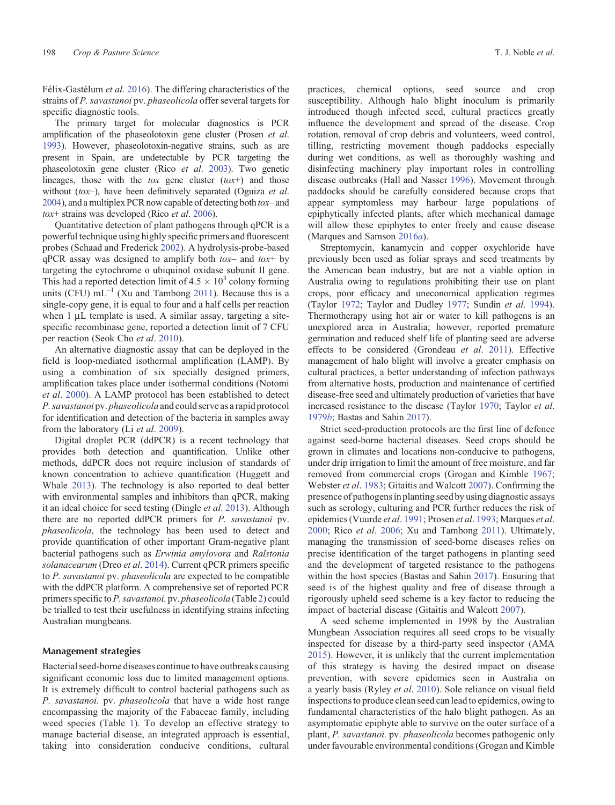Félix-Gastélum et al. [2016](#page-6-0)). The differing characteristics of the strains of P. savastanoi pv. phaseolicola offer several targets for specific diagnostic tools.

The primary target for molecular diagnostics is PCR amplification of the phaseolotoxin gene cluster (Prosen et al. [1993](#page-7-0)). However, phaseolotoxin-negative strains, such as are present in Spain, are undetectable by PCR targeting the phaseolotoxin gene cluster (Rico et al. [2003\)](#page-7-0). Two genetic lineages, those with the  $\cos$  gene cluster  $(t\alpha x^{+})$  and those without  $(tox-)$ , have been definitively separated (Oguiza et al. [2004](#page-7-0)), and a multiplex PCR now capable of detecting both tox– and tox+ strains was developed (Rico et al. [2006](#page-7-0)).

Quantitative detection of plant pathogens through qPCR is a powerful technique using highly specific primers and fluorescent probes (Schaad and Frederick [2002\)](#page-7-0). A hydrolysis-probe-based  $qPCR$  assay was designed to amplify both  $tox-$  and  $tox+$  by targeting the cytochrome o ubiquinol oxidase subunit II gene. This had a reported detection limit of  $4.5 \times 10^3$  colony forming units (CFU)  $mL^{-1}$  (Xu and Tambong [2011\)](#page-8-0). Because this is a single-copy gene, it is equal to four and a half cells per reaction when  $1 \mu L$  template is used. A similar assay, targeting a sitespecific recombinase gene, reported a detection limit of 7 CFU per reaction (Seok Cho et al. [2010\)](#page-7-0).

An alternative diagnostic assay that can be deployed in the field is loop-mediated isothermal amplification (LAMP). By using a combination of six specially designed primers, amplification takes place under isothermal conditions (Notomi et al. [2000\)](#page-7-0). A LAMP protocol has been established to detect P. savastanoi pv. phaseolicola and could serve as a rapid protocol for identification and detection of the bacteria in samples away from the laboratory (Li et al. [2009\)](#page-6-0).

Digital droplet PCR (ddPCR) is a recent technology that provides both detection and quantification. Unlike other methods, ddPCR does not require inclusion of standards of known concentration to achieve quantification (Huggett and Whale [2013](#page-6-0)). The technology is also reported to deal better with environmental samples and inhibitors than qPCR, making it an ideal choice for seed testing (Dingle et al. [2013](#page-5-0)). Although there are no reported ddPCR primers for P. savastanoi pv. phaseolicola, the technology has been used to detect and provide quantification of other important Gram-negative plant bacterial pathogens such as Erwinia amylovora and Ralstonia solanacearum (Dreo et al. [2014\)](#page-6-0). Current qPCR primers specific to P. savastanoi pv. phaseolicola are expected to be compatible with the ddPCR platform. A comprehensive set of reported PCR primers specific to P. savastanoi. pv. phaseolicola (Table [2\)](#page-4-0) could be trialled to test their usefulness in identifying strains infecting Australian mungbeans.

# Management strategies

Bacterial seed-borne diseases continue to have outbreaks causing significant economic loss due to limited management options. It is extremely difficult to control bacterial pathogens such as P. savastanoi. pv. phaseolicola that have a wide host range encompassing the majority of the Fabaceae family, including weed species (Table [1](#page-1-0)). To develop an effective strategy to manage bacterial disease, an integrated approach is essential, taking into consideration conducive conditions, cultural practices, chemical options, seed source and crop susceptibility. Although halo blight inoculum is primarily introduced though infected seed, cultural practices greatly influence the development and spread of the disease. Crop rotation, removal of crop debris and volunteers, weed control, tilling, restricting movement though paddocks especially during wet conditions, as well as thoroughly washing and disinfecting machinery play important roles in controlling disease outbreaks (Hall and Nasser [1996](#page-6-0)). Movement through paddocks should be carefully considered because crops that appear symptomless may harbour large populations of epiphytically infected plants, after which mechanical damage will allow these epiphytes to enter freely and cause disease (Marques and Samson [2016](#page-6-0)a).

Streptomycin, kanamycin and copper oxychloride have previously been used as foliar sprays and seed treatments by the American bean industry, but are not a viable option in Australia owing to regulations prohibiting their use on plant crops, poor efficacy and uneconomical application regimes (Taylor [1972;](#page-7-0) Taylor and Dudley [1977;](#page-7-0) Sundin et al. [1994\)](#page-7-0). Thermotherapy using hot air or water to kill pathogens is an unexplored area in Australia; however, reported premature germination and reduced shelf life of planting seed are adverse effects to be considered (Grondeau et al. [2011](#page-6-0)). Effective management of halo blight will involve a greater emphasis on cultural practices, a better understanding of infection pathways from alternative hosts, production and maintenance of certified disease-free seed and ultimately production of varieties that have increased resistance to the disease (Taylor [1970](#page-7-0); Taylor et al. [1979](#page-7-0)b; Bastas and Sahin [2017](#page-5-0)).

Strict seed-production protocols are the first line of defence against seed-borne bacterial diseases. Seed crops should be grown in climates and locations non-conducive to pathogens, under drip irrigation to limit the amount of free moisture, and far removed from commercial crops (Grogan and Kimble [1967;](#page-6-0) Webster et al. [1983](#page-8-0); Gitaitis and Walcott [2007](#page-6-0)). Confirming the presence of pathogensin planting seed by using diagnostic assays such as serology, culturing and PCR further reduces the risk of epidemics (Vuurde et al. [1991;](#page-8-0) Prosen et al. [1993](#page-7-0); Marques et al. [2000](#page-6-0); Rico et al. [2006;](#page-7-0) Xu and Tambong [2011](#page-8-0)). Ultimately, managing the transmission of seed-borne diseases relies on precise identification of the target pathogens in planting seed and the development of targeted resistance to the pathogens within the host species (Bastas and Sahin [2017\)](#page-5-0). Ensuring that seed is of the highest quality and free of disease through a rigorously upheld seed scheme is a key factor to reducing the impact of bacterial disease (Gitaitis and Walcott [2007\)](#page-6-0).

A seed scheme implemented in 1998 by the Australian Mungbean Association requires all seed crops to be visually inspected for disease by a third-party seed inspector (AMA [2015](#page-5-0)). However, it is unlikely that the current implementation of this strategy is having the desired impact on disease prevention, with severe epidemics seen in Australia on a yearly basis (Ryley et al. [2010](#page-7-0)). Sole reliance on visual field inspections to produce clean seed can lead to epidemics, owing to fundamental characteristics of the halo blight pathogen. As an asymptomatic epiphyte able to survive on the outer surface of a plant, P. savastanoi. pv. phaseolicola becomes pathogenic only under favourable environmental conditions (Grogan and Kimble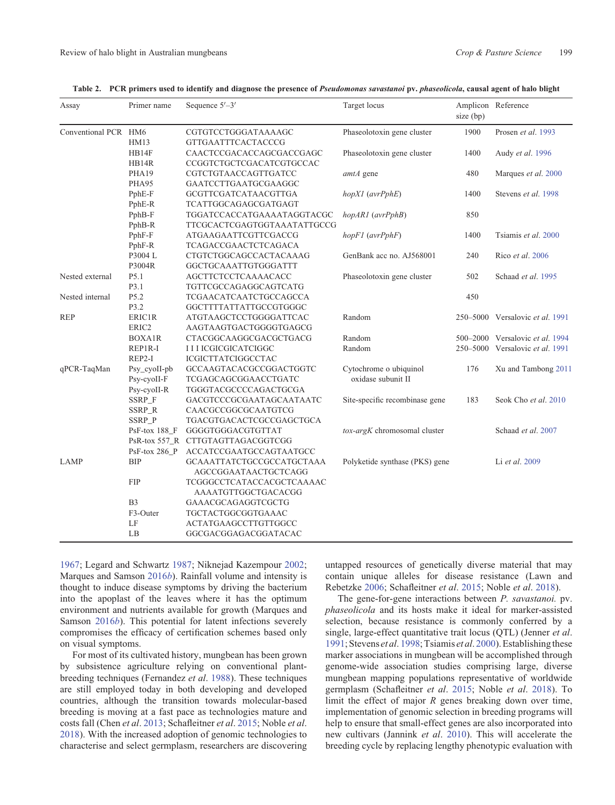<span id="page-4-0"></span>

| Assay                | Primer name      | Sequence $5'-3'$                  | Target locus                   | size (bp) | Amplicon Reference              |
|----------------------|------------------|-----------------------------------|--------------------------------|-----------|---------------------------------|
| Conventional PCR HM6 |                  | CGTGTCCTGGGATAAAAGC               | Phaseolotoxin gene cluster     | 1900      | Prosen et al. 1993              |
|                      | HM13             | <b>GTTGAATTTCACTACCCG</b>         |                                |           |                                 |
|                      | HB14F            | CAACTCCGACACCAGCGACCGAGC          | Phaseolotoxin gene cluster     | 1400      | Audy et al. 1996                |
|                      | HB14R            | CCGGTCTGCTCGACATCGTGCCAC          |                                |           |                                 |
|                      | PHA19            | CGTCTGTAACCAGTTGATCC              | amtA gene                      | 480       | Marques et al. 2000             |
|                      | PHA95            | GAATCCTTGAATGCGAAGGC              |                                |           |                                 |
|                      | PphE-F           | GCGTTCGATCATAACGTTGA              | $hopXI$ (avr $PphE$ )          | 1400      | Stevens et al. 1998             |
|                      | PphE-R           | TCATTGGCAGAGCGATGAGT              |                                |           |                                 |
|                      | PphB-F           | TGGATCCACCATGAAAATAGGTACGC        | hopAR1 (avrPphB)               | 850       |                                 |
|                      | PphB-R           | TTCGCACTCGAGTGGTAAATATTGCCG       |                                |           |                                 |
|                      | PphF-F           | ATGAAGAATTCGTTCGACCG              | $hopF1$ ( $avrPphF$ )          | 1400      | Tsiamis et al. 2000             |
|                      | PphF-R           | <b>TCAGACCGAACTCTCAGACA</b>       |                                |           |                                 |
|                      | P3004 L          | CTGTCTGGCAGCCACTACAAAG            | GenBank acc no. AJ568001       | 240       | Rico et al. 2006                |
|                      | P3004R           | GGCTGCAAATTGTGGGATTT              |                                |           |                                 |
| Nested external      | P5.1             | AGCTTCTCCTCAAAACACC               | Phaseolotoxin gene cluster     | 502       | Schaad et al. 1995              |
|                      | P3.1             | TGTTCGCCAGAGGCAGTCATG             |                                |           |                                 |
| Nested internal      | P5.2             | TCGAACATCAATCTGCCAGCCA            |                                | 450       |                                 |
|                      | P3.2             | GGCTTTTATTATTGCCGTGGGC            |                                |           |                                 |
| <b>REP</b>           | ERIC1R           | ATGTAAGCTCCTGGGGATTCAC            | Random                         |           | 250-5000 Versalovic et al. 1991 |
|                      | ERIC2            | AAGTAAGTGACTGGGGTGAGCG            |                                |           |                                 |
|                      | <b>BOXA1R</b>    | CTACGGCAAGGCGACGCTGACG            | Random                         |           | 500–2000 Versalovic et al. 1994 |
|                      | REP1R-I          | <b>IIII</b> ICGICGICATCIGGC       | Random                         |           | 250-5000 Versalovic et al. 1991 |
|                      | REP2-I           | ICGICTTATCIGGCCTAC                |                                |           |                                 |
| qPCR-TaqMan          | Psy_cyoII-pb     | GCCAAGTACACGCCGGACTGGTC           | Cytochrome o ubiquinol         | 176       | Xu and Tambong 2011             |
|                      | Psy-cyoII-F      | TCGAGCAGCGGAACCTGATC              | oxidase subunit II             |           |                                 |
|                      | Psy-cyoII-R      | TGGGTACGCCCCAGACTGCGA             |                                |           |                                 |
|                      | SSRP_F           | GACGTCCCGCGAATAGCAATAATC          | Site-specific recombinase gene | 183       | Seok Cho et al. 2010            |
|                      | SSRP_R           | CAACGCCGGCGCAATGTCG               |                                |           |                                 |
|                      | SSRP_P           | TGACGTGACACTCGCCGAGCTGCA          |                                |           |                                 |
|                      | PsF-tox 188_F    | GGGGTGGGACGTGTTAT                 | tox-argK chromosomal cluster   |           | Schaad et al. 2007              |
|                      |                  | PsR-tox 557 R CTTGTAGTTAGACGGTCGG |                                |           |                                 |
|                      | $PsF$ -tox 286_P | ACCATCCGAATGCCAGTAATGCC           |                                |           |                                 |
| LAMP                 | <b>BIP</b>       | GCAAATTATCTGCCGCCATGCTAAA         | Polyketide synthase (PKS) gene |           | Li et al. 2009                  |
|                      |                  | AGCCGGAATAACTGCTCAGG              |                                |           |                                 |
|                      | <b>FIP</b>       | TCGGGCCTCATACCACGCTCAAAAC         |                                |           |                                 |
|                      |                  | AAAATGTTGGCTGACACGG               |                                |           |                                 |
|                      | B <sub>3</sub>   | GAAACGCAGAGGTCGCTG                |                                |           |                                 |
|                      | F3-Outer         | TGCTACTGGCGGTGAAAC                |                                |           |                                 |
|                      | LF               | ACTATGAAGCCTTGTTGGCC              |                                |           |                                 |
|                      | LB               | GGCGACGGAGACGGATACAC              |                                |           |                                 |
|                      |                  |                                   |                                |           |                                 |

Table 2. PCR primers used to identify and diagnose the presence of Pseudomonas savastanoi pv. phaseolicola, causal agent of halo blight

[1967](#page-6-0); Legard and Schwartz [1987;](#page-6-0) Niknejad Kazempour [2002;](#page-6-0) Marques and Samson [2016](#page-6-0)b). Rainfall volume and intensity is thought to induce disease symptoms by driving the bacterium into the apoplast of the leaves where it has the optimum environment and nutrients available for growth (Marques and Samson [2016](#page-6-0)b). This potential for latent infections severely compromises the efficacy of certification schemes based only on visual symptoms.

For most of its cultivated history, mungbean has been grown by subsistence agriculture relying on conventional plantbreeding techniques (Fernandez et al. [1988](#page-6-0)). These techniques are still employed today in both developing and developed countries, although the transition towards molecular-based breeding is moving at a fast pace as technologies mature and costs fall (Chen et al. [2013](#page-5-0); Schafleitner et al. [2015](#page-7-0); Noble et al. [2018](#page-6-0)). With the increased adoption of genomic technologies to characterise and select germplasm, researchers are discovering untapped resources of genetically diverse material that may contain unique alleles for disease resistance (Lawn and Rebetzke [2006;](#page-6-0) Schafleitner et al. [2015;](#page-7-0) Noble et al. [2018\)](#page-6-0).

The gene-for-gene interactions between P. savastanoi. pv. phaseolicola and its hosts make it ideal for marker-assisted selection, because resistance is commonly conferred by a single, large-effect quantitative trait locus (QTL) (Jenner et al. [1991](#page-6-0); Stevens et al. [1998;](#page-7-0) Tsiamis et al. [2000\)](#page-7-0). Establishing these marker associations in mungbean will be accomplished through genome-wide association studies comprising large, diverse mungbean mapping populations representative of worldwide germplasm (Schafleitner et al. [2015](#page-7-0); Noble et al. [2018](#page-6-0)). To limit the effect of major  $R$  genes breaking down over time, implementation of genomic selection in breeding programs will help to ensure that small-effect genes are also incorporated into new cultivars (Jannink et al. [2010\)](#page-6-0). This will accelerate the breeding cycle by replacing lengthy phenotypic evaluation with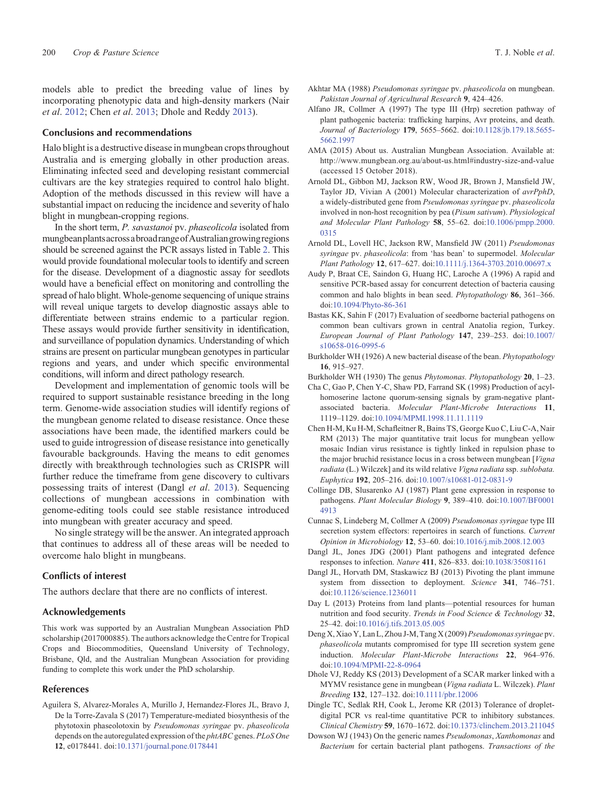<span id="page-5-0"></span>models able to predict the breeding value of lines by incorporating phenotypic data and high-density markers (Nair et al. [2012;](#page-6-0) Chen et al. 2013; Dhole and Reddy 2013).

#### Conclusions and recommendations

Halo blight is a destructive disease in mungbean crops throughout Australia and is emerging globally in other production areas. Eliminating infected seed and developing resistant commercial cultivars are the key strategies required to control halo blight. Adoption of the methods discussed in this review will have a substantial impact on reducing the incidence and severity of halo blight in mungbean-cropping regions.

In the short term, P. savastanoi pv. phaseolicola isolated from mungbeanplantsacrossabroadrangeofAustraliangrowingregions should be screened against the PCR assays listed in Table [2](#page-4-0). This would provide foundational molecular tools to identify and screen for the disease. Development of a diagnostic assay for seedlots would have a beneficial effect on monitoring and controlling the spread of halo blight. Whole-genome sequencing of unique strains will reveal unique targets to develop diagnostic assays able to differentiate between strains endemic to a particular region. These assays would provide further sensitivity in identification, and surveillance of population dynamics. Understanding of which strains are present on particular mungbean genotypes in particular regions and years, and under which specific environmental conditions, will inform and direct pathology research.

Development and implementation of genomic tools will be required to support sustainable resistance breeding in the long term. Genome-wide association studies will identify regions of the mungbean genome related to disease resistance. Once these associations have been made, the identified markers could be used to guide introgression of disease resistance into genetically favourable backgrounds. Having the means to edit genomes directly with breakthrough technologies such as CRISPR will further reduce the timeframe from gene discovery to cultivars possessing traits of interest (Dangl et al. 2013). Sequencing collections of mungbean accessions in combination with genome-editing tools could see stable resistance introduced into mungbean with greater accuracy and speed.

No single strategy will be the answer. An integrated approach that continues to address all of these areas will be needed to overcome halo blight in mungbeans.

#### Conflicts of interest

The authors declare that there are no conflicts of interest.

#### Acknowledgements

This work was supported by an Australian Mungbean Association PhD scholarship (2017000885). The authors acknowledge the Centre for Tropical Crops and Biocommodities, Queensland University of Technology, Brisbane, Qld, and the Australian Mungbean Association for providing funding to complete this work under the PhD scholarship.

#### References

Aguilera S, Alvarez-Morales A, Murillo J, Hernandez-Flores JL, Bravo J, De la Torre-Zavala S (2017) Temperature-mediated biosynthesis of the phytotoxin phaseolotoxin by Pseudomonas syringae pv. phaseolicola depends on the autoregulated expression of the *phtABC* genes. PLoS One 12, e0178441. doi[:10.1371/journal.pone.0178441](dx.doi.org/10.1371/journal.pone.0178441)

- Akhtar MA (1988) Pseudomonas syringae pv. phaseolicola on mungbean. Pakistan Journal of Agricultural Research 9, 424–426.
- Alfano JR, Collmer A (1997) The type III (Hrp) secretion pathway of plant pathogenic bacteria: trafficking harpins, Avr proteins, and death. Journal of Bacteriology 179, 5655–5662. doi:[10.1128/jb.179.18.5655-](dx.doi.org/10.1128/jb.179.18.5655-5662.1997) [5662.1997](dx.doi.org/10.1128/jb.179.18.5655-5662.1997)
- AMA (2015) About us. Australian Mungbean Association. Available at: <http://www.mungbean.org.au/about-us.html#industry-size-and-value> (accessed 15 October 2018).
- Arnold DL, Gibbon MJ, Jackson RW, Wood JR, Brown J, Mansfield JW, Taylor JD, Vivian A (2001) Molecular characterization of avrPphD, a widely-distributed gene from Pseudomonas syringae pv. phaseolicola involved in non-host recognition by pea (Pisum sativum). Physiological and Molecular Plant Pathology 58, 55–62. doi:[10.1006/pmpp.2000.](dx.doi.org/10.1006/pmpp.2000.0315) [0315](dx.doi.org/10.1006/pmpp.2000.0315)
- Arnold DL, Lovell HC, Jackson RW, Mansfield JW (2011) Pseudomonas syringae pv. phaseolicola: from 'has bean' to supermodel. Molecular Plant Pathology 12, 617–627. doi[:10.1111/j.1364-3703.2010.00697.x](dx.doi.org/10.1111/j.1364-3703.2010.00697.x)
- Audy P, Braat CE, Saindon G, Huang HC, Laroche A (1996) A rapid and sensitive PCR-based assay for concurrent detection of bacteria causing common and halo blights in bean seed. Phytopathology 86, 361–366. doi[:10.1094/Phyto-86-361](dx.doi.org/10.1094/Phyto-86-361)
- Bastas KK, Sahin F (2017) Evaluation of seedborne bacterial pathogens on common bean cultivars grown in central Anatolia region, Turkey. European Journal of Plant Pathology 147, 239–253. doi[:10.1007/](dx.doi.org/10.1007/s10658-016-0995-6) [s10658-016-0995-6](dx.doi.org/10.1007/s10658-016-0995-6)
- Burkholder WH (1926) A new bacterial disease of the bean. Phytopathology 16, 915–927.

Burkholder WH (1930) The genus Phytomonas. Phytopathology 20, 1–23.

- Cha C, Gao P, Chen Y-C, Shaw PD, Farrand SK (1998) Production of acylhomoserine lactone quorum-sensing signals by gram-negative plantassociated bacteria. Molecular Plant-Microbe Interactions 11, 1119–1129. doi:[10.1094/MPMI.1998.11.11.1119](dx.doi.org/10.1094/MPMI.1998.11.11.1119)
- Chen H-M, Ku H-M, Schafleitner R, Bains TS, George Kuo C, Liu C-A, Nair RM (2013) The major quantitative trait locus for mungbean yellow mosaic Indian virus resistance is tightly linked in repulsion phase to the major bruchid resistance locus in a cross between mungbean [Vigna] radiata (L.) Wilczek] and its wild relative Vigna radiata ssp. sublobata. Euphytica 192, 205–216. doi[:10.1007/s10681-012-0831-9](dx.doi.org/10.1007/s10681-012-0831-9)
- Collinge DB, Slusarenko AJ (1987) Plant gene expression in response to pathogens. Plant Molecular Biology 9, 389–410. doi[:10.1007/BF0001](dx.doi.org/10.1007/BF00014913) [4913](dx.doi.org/10.1007/BF00014913)
- Cunnac S, Lindeberg M, Collmer A (2009) Pseudomonas syringae type III secretion system effectors: repertoires in search of functions. Current Opinion in Microbiology 12, 53–60. doi[:10.1016/j.mib.2008.12.003](dx.doi.org/10.1016/j.mib.2008.12.003)
- Dangl JL, Jones JDG (2001) Plant pathogens and integrated defence responses to infection. Nature 411, 826–833. doi[:10.1038/35081161](dx.doi.org/10.1038/35081161)
- Dangl JL, Horvath DM, Staskawicz BJ (2013) Pivoting the plant immune system from dissection to deployment. Science 341, 746–751. doi[:10.1126/science.1236011](dx.doi.org/10.1126/science.1236011)
- Day L (2013) Proteins from land plants—potential resources for human nutrition and food security. Trends in Food Science & Technology 32, 25–42. doi:[10.1016/j.tifs.2013.05.005](dx.doi.org/10.1016/j.tifs.2013.05.005)
- Deng X, Xiao Y, Lan L, Zhou J-M, Tang X (2009) Pseudomonas syringae pv. phaseolicola mutants compromised for type III secretion system gene induction. Molecular Plant-Microbe Interactions 22, 964–976. doi[:10.1094/MPMI-22-8-0964](dx.doi.org/10.1094/MPMI-22-8-0964)
- Dhole VJ, Reddy KS (2013) Development of a SCAR marker linked with a MYMV resistance gene in mungbean (Vigna radiata L. Wilczek). Plant Breeding 132, 127–132. doi[:10.1111/pbr.12006](dx.doi.org/10.1111/pbr.12006)
- Dingle TC, Sedlak RH, Cook L, Jerome KR (2013) Tolerance of dropletdigital PCR vs real-time quantitative PCR to inhibitory substances. Clinical Chemistry 59, 1670–1672. doi[:10.1373/clinchem.2013.211045](dx.doi.org/10.1373/clinchem.2013.211045)
- Dowson WJ (1943) On the generic names Pseudomonas, Xanthomonas and Bacterium for certain bacterial plant pathogens. Transactions of the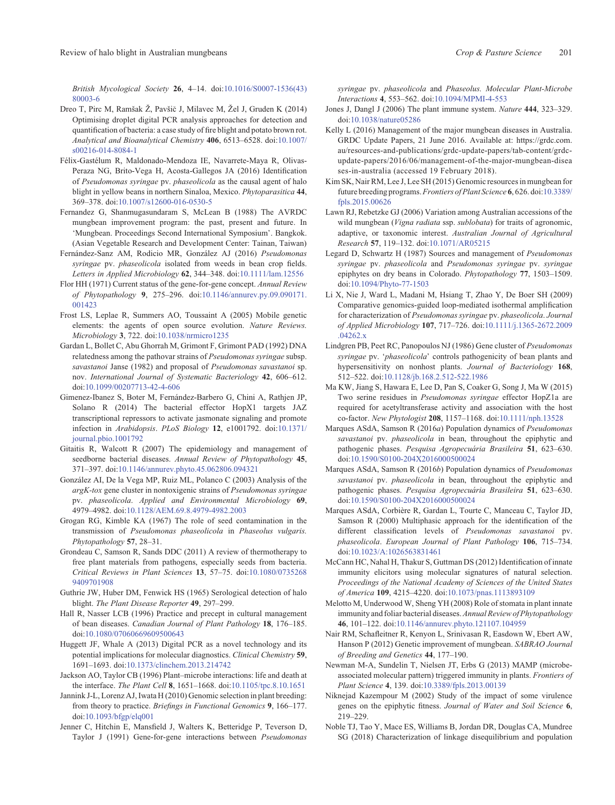<span id="page-6-0"></span>British Mycological Society 26, 4–14. doi:[10.1016/S0007-1536\(43\)](dx.doi.org/10.1016/S0007-1536(43)80003-6) [80003-6](dx.doi.org/10.1016/S0007-1536(43)80003-6)

- Dreo T, Pirc M, Ramšak Ž, Pavšic J, Milavec M, Žel J, Gruden K (2014) Optimising droplet digital PCR analysis approaches for detection and quantification of bacteria: a case study of fire blight and potato brown rot. Analytical and Bioanalytical Chemistry 406, 6513–6528. doi[:10.1007/](dx.doi.org/10.1007/s00216-014-8084-1) [s00216-014-8084-1](dx.doi.org/10.1007/s00216-014-8084-1)
- Félix-Gastélum R, Maldonado-Mendoza IE, Navarrete-Maya R, Olivas-Peraza NG, Brito-Vega H, Acosta-Gallegos JA (2016) Identification of Pseudomonas syringae pv. phaseolicola as the causal agent of halo blight in yellow beans in northern Sinaloa, Mexico. Phytoparasitica 44, 369–378. doi:[10.1007/s12600-016-0530-5](dx.doi.org/10.1007/s12600-016-0530-5)
- Fernandez G, Shanmugasundaram S, McLean B (1988) The AVRDC mungbean improvement program: the past, present and future. In 'Mungbean. Proceedings Second International Symposium'. Bangkok. (Asian Vegetable Research and Development Center: Tainan, Taiwan)
- Fernández-Sanz AM, Rodicio MR, González AJ (2016) Pseudomonas syringae pv. phaseolicola isolated from weeds in bean crop fields. Letters in Applied Microbiology 62, 344–348. doi[:10.1111/lam.12556](dx.doi.org/10.1111/lam.12556)
- Flor HH (1971) Current status of the gene-for-gene concept. Annual Review of Phytopathology 9, 275–296. doi:[10.1146/annurev.py.09.090171.](dx.doi.org/10.1146/annurev.py.09.090171.001423) [001423](dx.doi.org/10.1146/annurev.py.09.090171.001423)
- Frost LS, Leplae R, Summers AO, Toussaint A (2005) Mobile genetic elements: the agents of open source evolution. Nature Reviews. Microbiology 3, 722. doi:[10.1038/nrmicro1235](dx.doi.org/10.1038/nrmicro1235)
- Gardan L, Bollet C, Abu Ghorrah M, Grimont F, Grimont PAD (1992) DNA relatedness among the pathovar strains of Pseudomonas syringae subsp. savastanoi Janse (1982) and proposal of Pseudomonas savastanoi sp. nov. International Journal of Systematic Bacteriology 42, 606–612. doi[:10.1099/00207713-42-4-606](dx.doi.org/10.1099/00207713-42-4-606)
- Gimenez-Ibanez S, Boter M, Fernández-Barbero G, Chini A, Rathjen JP, Solano R (2014) The bacterial effector HopX1 targets JAZ transcriptional repressors to activate jasmonate signaling and promote infection in Arabidopsis. PLoS Biology 12, e1001792. doi[:10.1371/](dx.doi.org/10.1371/journal.pbio.1001792) [journal.pbio.1001792](dx.doi.org/10.1371/journal.pbio.1001792)
- Gitaitis R, Walcott R (2007) The epidemiology and management of seedborne bacterial diseases. Annual Review of Phytopathology 45, 371–397. doi:[10.1146/annurev.phyto.45.062806.094321](dx.doi.org/10.1146/annurev.phyto.45.062806.094321)
- González AI, De la Vega MP, Ruiz ML, Polanco C (2003) Analysis of the argK-tox gene cluster in nontoxigenic strains of Pseudomonas syringae pv. phaseolicola. Applied and Environmental Microbiology 69, 4979–4982. doi:[10.1128/AEM.69.8.4979-4982.2003](dx.doi.org/10.1128/AEM.69.8.4979-4982.2003)
- Grogan RG, Kimble KA (1967) The role of seed contamination in the transmission of Pseudomonas phaseolicola in Phaseolus vulgaris. Phytopathology 57, 28–31.
- Grondeau C, Samson R, Sands DDC (2011) A review of thermotherapy to free plant materials from pathogens, especially seeds from bacteria. Critical Reviews in Plant Sciences 13, 57–75. doi[:10.1080/0735268](dx.doi.org/10.1080/07352689409701908) [9409701908](dx.doi.org/10.1080/07352689409701908)
- Guthrie JW, Huber DM, Fenwick HS (1965) Serological detection of halo blight. The Plant Disease Reporter 49, 297–299.
- Hall R, Nasser LCB (1996) Practice and precept in cultural management of bean diseases. Canadian Journal of Plant Pathology 18, 176–185. doi[:10.1080/07060669609500643](dx.doi.org/10.1080/07060669609500643)
- Huggett JF, Whale A (2013) Digital PCR as a novel technology and its potential implications for molecular diagnostics. Clinical Chemistry 59, 1691–1693. doi:[10.1373/clinchem.2013.214742](dx.doi.org/10.1373/clinchem.2013.214742)
- Jackson AO, Taylor CB (1996) Plant–microbe interactions: life and death at the interface. The Plant Cell 8, 1651–1668. doi[:10.1105/tpc.8.10.1651](dx.doi.org/10.1105/tpc.8.10.1651)
- Jannink J-L, Lorenz AJ, Iwata H (2010) Genomic selection in plant breeding: from theory to practice. Briefings in Functional Genomics 9, 166-177. doi[:10.1093/bfgp/elq001](dx.doi.org/10.1093/bfgp/elq001)
- Jenner C, Hitchin E, Mansfield J, Walters K, Betteridge P, Teverson D, Taylor J (1991) Gene-for-gene interactions between Pseudomonas

syringae pv. phaseolicola and Phaseolus. Molecular Plant-Microbe Interactions 4, 553–562. doi:[10.1094/MPMI-4-553](dx.doi.org/10.1094/MPMI-4-553)

- Jones J, Dangl J (2006) The plant immune system. Nature 444, 323–329. doi:[10.1038/nature05286](dx.doi.org/10.1038/nature05286)
- Kelly L (2016) Management of the major mungbean diseases in Australia. GRDC Update Papers, 21 June 2016. Available at: [https://grdc.com.](https://grdc.com.au/resources-and-publications/grdc-update-papers/tab-content/grdc-update-papers/2016/06/management-of-the-major-mungbean-diseases-in-australia) [au/resources-and-publications/grdc-update-papers/tab-content/grdc](https://grdc.com.au/resources-and-publications/grdc-update-papers/tab-content/grdc-update-papers/2016/06/management-of-the-major-mungbean-diseases-in-australia)[update-papers/2016/06/management-of-the-major-mungbean-disea](https://grdc.com.au/resources-and-publications/grdc-update-papers/tab-content/grdc-update-papers/2016/06/management-of-the-major-mungbean-diseases-in-australia) [ses-in-australia](https://grdc.com.au/resources-and-publications/grdc-update-papers/tab-content/grdc-update-papers/2016/06/management-of-the-major-mungbean-diseases-in-australia) (accessed 19 February 2018).
- Kim SK, Nair RM, Lee J, Lee SH (2015) Genomic resources in mungbean for future breeding programs.Frontiers of Plant Science 6, 626. doi[:10.3389/](dx.doi.org/10.3389/fpls.2015.00626) [fpls.2015.00626](dx.doi.org/10.3389/fpls.2015.00626)
- Lawn RJ, Rebetzke GJ (2006) Variation among Australian accessions of the wild mungbean (Vigna radiata ssp. sublobata) for traits of agronomic, adaptive, or taxonomic interest. Australian Journal of Agricultural Research 57, 119–132. doi:[10.1071/AR05215](dx.doi.org/10.1071/AR05215)
- Legard D, Schwartz H (1987) Sources and management of Pseudomonas syringae pv. phaseolicola and Pseudomonas syringae pv. syringae epiphytes on dry beans in Colorado. Phytopathology 77, 1503–1509. doi:[10.1094/Phyto-77-1503](dx.doi.org/10.1094/Phyto-77-1503)
- Li X, Nie J, Ward L, Madani M, Hsiang T, Zhao Y, De Boer SH (2009) Comparative genomics-guided loop-mediated isothermal amplification for characterization of Pseudomonas syringae pv. phaseolicola. Journal of Applied Microbiology 107, 717–726. doi[:10.1111/j.1365-2672.2009](dx.doi.org/10.1111/j.1365-2672.2009.04262.x)  $04262x$
- Lindgren PB, Peet RC, Panopoulos NJ (1986) Gene cluster of Pseudomonas syringae pv. 'phaseolicola' controls pathogenicity of bean plants and hypersensitivity on nonhost plants. Journal of Bacteriology 168, 512–522. doi:[10.1128/jb.168.2.512-522.1986](dx.doi.org/10.1128/jb.168.2.512-522.1986)
- Ma KW, Jiang S, Hawara E, Lee D, Pan S, Coaker G, Song J, Ma W (2015) Two serine residues in Pseudomonas syringae effector HopZ1a are required for acetyltransferase activity and association with the host co-factor. New Phytologist 208, 1157–1168. doi:[10.1111/nph.13528](dx.doi.org/10.1111/nph.13528)
- Marques ASdA, Samson R (2016a) Population dynamics of Pseudomonas savastanoi pv. *phaseolicola* in bean, throughout the epiphytic and pathogenic phases. Pesquisa Agropecuária Brasileira 51, 623–630. doi:[10.1590/S0100-204X2016000500024](dx.doi.org/10.1590/S0100-204X2016000500024)
- Marques ASdA, Samson R (2016b) Population dynamics of Pseudomonas savastanoi pv. phaseolicola in bean, throughout the epiphytic and pathogenic phases. Pesquisa Agropecuária Brasileira 51, 623–630. doi:[10.1590/S0100-204X2016000500024](dx.doi.org/10.1590/S0100-204X2016000500024)
- Marques ASdA, Corbière R, Gardan L, Tourte C, Manceau C, Taylor JD, Samson R (2000) Multiphasic approach for the identification of the different classification levels of Pseudomonas savastanoi pv. phaseolicola. European Journal of Plant Pathology 106, 715–734. doi:[10.1023/A:1026563831461](dx.doi.org/10.1023/A:1026563831461)
- McCann HC, Nahal H, Thakur S, Guttman DS (2012) Identification of innate immunity elicitors using molecular signatures of natural selection. Proceedings of the National Academy of Sciences of the United States of America 109, 4215–4220. doi[:10.1073/pnas.1113893109](dx.doi.org/10.1073/pnas.1113893109)
- Melotto M, Underwood W, Sheng YH (2008) Role of stomata in plant innate immunity and foliar bacterial diseases.Annual Review of Phytopathology 46, 101–122. doi:[10.1146/annurev.phyto.121107.104959](dx.doi.org/10.1146/annurev.phyto.121107.104959)
- Nair RM, Schafleitner R, Kenyon L, Srinivasan R, Easdown W, Ebert AW, Hanson P (2012) Genetic improvement of mungbean. SABRAO Journal of Breeding and Genetics 44, 177–190.
- Newman M-A, Sundelin T, Nielsen JT, Erbs G (2013) MAMP (microbeassociated molecular pattern) triggered immunity in plants. Frontiers of Plant Science 4, 139. doi[:10.3389/fpls.2013.00139](dx.doi.org/10.3389/fpls.2013.00139)
- Niknejad Kazempour M (2002) Study of the impact of some virulence genes on the epiphytic fitness. Journal of Water and Soil Science 6, 219–229.
- Noble TJ, Tao Y, Mace ES, Williams B, Jordan DR, Douglas CA, Mundree SG (2018) Characterization of linkage disequilibrium and population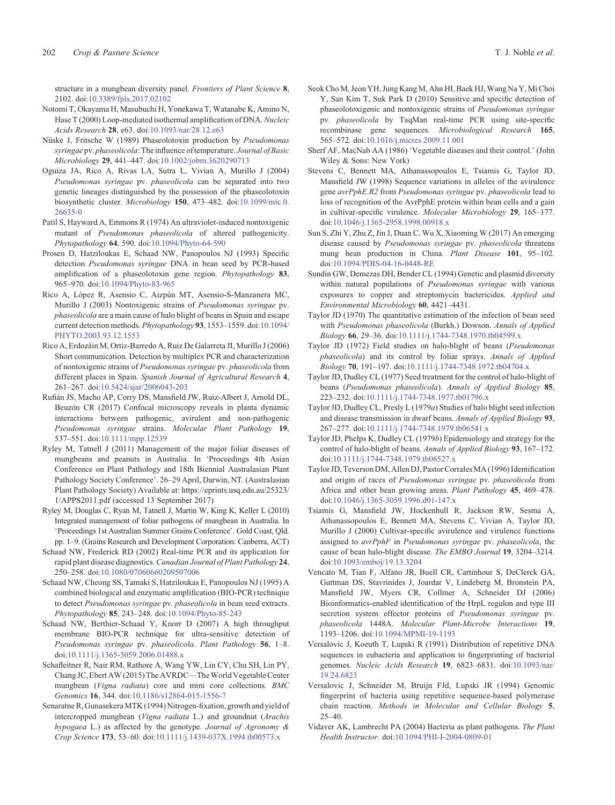<span id="page-7-0"></span>structure in a mungbean diversity panel. Frontiers of Plant Science 8,

- 2102. doi:[10.3389/fpls.2017.02102](dx.doi.org/10.3389/fpls.2017.02102) Notomi T, Okayama H, Masubuchi H, Yonekawa T, Watanabe K, Amino N,
- Hase T (2000) Loop-mediated isothermal amplification of DNA. Nucleic Acids Research 28, e63. doi[:10.1093/nar/28.12.e63](dx.doi.org/10.1093/nar/28.12.e63)
- Nüske J, Fritsche W (1989) Phaseolotoxin production by Pseudomonas syringae pv. phaseolicola: The influence of temperature. Journal of Basic Microbiology 29, 441–447. doi[:10.1002/jobm.3620290713](dx.doi.org/10.1002/jobm.3620290713)
- Oguiza JA, Rico A, Rivas LA, Sutra L, Vivian A, Murillo J (2004) Pseudomonas syringae pv. phaseolicola can be separated into two genetic lineages distinguished by the possession of the phaseolotoxin biosynthetic cluster. Microbiology 150, 473–482. doi[:10.1099/mic.0.](dx.doi.org/10.1099/mic.0.26635-0) [26635-0](dx.doi.org/10.1099/mic.0.26635-0)
- Patil S, Hayward A, Emmons R (1974) An ultraviolet-induced nontoxigenic mutant of Pseudomonas phaseolicola of altered pathogenicity. Phytopathology 64, 590. doi[:10.1094/Phyto-64-590](dx.doi.org/10.1094/Phyto-64-590)
- Prosen D, Hatziloukas E, Schaad NW, Panopoulos NJ (1993) Specific detection Pseudomonas syringae DNA in bean seed by PCR-based amplification of a phaseolotoxin gene region. Phytopathology 83, 965–970. doi:[10.1094/Phyto-83-965](dx.doi.org/10.1094/Phyto-83-965)
- Rico A, López R, Asensio C, Aizpún MT, Asensio-S-Manzanera MC, Murillo J (2003) Nontoxigenic strains of Pseudomonas syringae pv. phaseolicola are a main cause of halo blight of beans in Spain and escape current detection methods. Phytopathology 93, 1553–1559. doi[:10.1094/](dx.doi.org/10.1094/PHYTO.2003.93.12.1553) [PHYTO.2003.93.12.1553](dx.doi.org/10.1094/PHYTO.2003.93.12.1553)
- Rico A, Erdozáin M, Ortiz-Barredo A, Ruiz De Galarreta JI, Murillo J (2006) Short communication. Detection by multiplex PCR and characterization of nontoxigenic strains of Pseudomonas syringae pv. phaseolicola from different places in Spain. Spanish Journal of Agricultural Research 4, 261–267. doi:[10.5424/sjar/2006043-203](dx.doi.org/10.5424/sjar/2006043-203)
- Rufián JS, Macho AP, Corry DS, Mansfield JW, Ruiz-Albert J, Arnold DL, Beuzón CR (2017) Confocal microscopy reveals in planta dynamic interactions between pathogenic, avirulent and non-pathogenic Pseudomonas syringae strains. Molecular Plant Pathology 19, 537–551. doi:[10.1111/mpp.12539](dx.doi.org/10.1111/mpp.12539)
- Ryley M, Tatnell J (2011) Management of the major foliar diseases of mungbeans and peanuts in Australia. In 'Proceedings 4th Asian Conference on Plant Pathology and 18th Biennial Australasian Plant Pathology Society Conference'. 26–29 April, Darwin, NT. (Australasian Plant Pathology Society) Available at: [https://eprints.usq.edu.au/25323/](https://eprints.usq.edu.au/25323/1/APPS2011.pdf) [1/APPS2011.pdf](https://eprints.usq.edu.au/25323/1/APPS2011.pdf) (accessed 13 September 2017)
- Ryley M, Douglas C, Ryan M, Tatnell J, Martin W, King K, Keller L (2010) Integrated management of foliar pathogens of mungbean in Australia. In 'Proceedings 1st Australian Summer Grains Conference'. Gold Coast, Qld. pp. 1–9. (Grains Research and Development Corporation: Canberra, ACT)
- Schaad NW, Frederick RD (2002) Real-time PCR and its application for rapid plant disease diagnostics. Canadian Journal of Plant Pathology 24, 250–258. doi:[10.1080/07060660209507006](dx.doi.org/10.1080/07060660209507006)
- Schaad NW, Cheong SS, Tamaki S, Hatziloukas E, Panopoulos NJ (1995) A combined biological and enzymatic amplification (BIO-PCR) technique to detect Pseudomonas syringae pv. phaseolicola in bean seed extracts. Phytopathology 85, 243–248. doi[:10.1094/Phyto-85-243](dx.doi.org/10.1094/Phyto-85-243)
- Schaad NW, Berthier-Schaad Y, Knorr D (2007) A high throughput membrane BIO-PCR technique for ultra-sensitive detection of Pseudomonas syringae pv. phaseolicola. Plant Pathology 56, 1–8. doi[:10.1111/j.1365-3059.2006.01488.x](dx.doi.org/10.1111/j.1365-3059.2006.01488.x)
- Schafleitner R, Nair RM, Rathore A, Wang YW, Lin CY, Chu SH, Lin PY, Chang JC, Ebert AW (2015) The AVRDC—TheWorld Vegetable Center mungbean (Vigna radiata) core and mini core collections. BMC Genomics 16, 344. doi:[10.1186/s12864-015-1556-7](dx.doi.org/10.1186/s12864-015-1556-7)
- Senaratne R, Gunasekera MTK (1994) Nitrogen-fixation, growth and yield of intercropped mungbean (Vigna radiata L.) and groundnut (Arachis hypogaea L.) as affected by the genotype. Journal of Agronomy & Crop Science 173, 53–60. doi:[10.1111/j.1439-037X.1994.tb00573.x](dx.doi.org/10.1111/j.1439-037X.1994.tb00573.x)
- Seok Cho M, Jeon YH, Jung Kang M, Ahn HI, Baek HJ, Wang Na Y, Mi Choi Y, San Kim T, Suk Park D (2010) Sensitive and specific detection of phaseolotoxigenic and nontoxigenic strains of Pseudomonas syringae pv. phaseolicola by TaqMan real-time PCR using site-specific recombinase gene sequences. Microbiological Research 165, 565–572. doi:[10.1016/j.micres.2009.11.001](dx.doi.org/10.1016/j.micres.2009.11.001)
- Sherf AF, MacNab AA (1986) 'Vegetable diseases and their control.' (John Wiley & Sons: New York)
- Stevens C, Bennett MA, Athanassopoulos E, Tsiamis G, Taylor JD, Mansfield JW (1998) Sequence variations in alleles of the avirulence gene avrPphE.R2 from Pseudomonas syringae pv. phaseolicola lead to loss of recognition of the AvrPphE protein within bean cells and a gain in cultivar-specific virulence. Molecular Microbiology 29, 165–177. doi[:10.1046/j.1365-2958.1998.00918.x](dx.doi.org/10.1046/j.1365-2958.1998.00918.x)
- Sun S, Zhi Y, Zhu Z, Jin J, Duan C, Wu X, Xiaoming W (2017) An emerging disease caused by Pseudomonas syringae pv. phaseolicola threatens mung bean production in China. Plant Disease 101, 95–102. doi[:10.1094/PDIS-04-16-0448-RE](dx.doi.org/10.1094/PDIS-04-16-0448-RE)
- Sundin GW, Demezas DH, Bender CL (1994) Genetic and plasmid diversity within natural populations of Pseudomonas syringae with various exposures to copper and streptomycin bactericides. Applied and Environmental Microbiology 60, 4421–4431.
- Taylor JD (1970) The quantitative estimation of the infection of bean seed with Pseudomonas phaseolicola (Burkh.) Dowson. Annals of Applied Biology 66, 29–36. doi:[10.1111/j.1744-7348.1970.tb04599.x](dx.doi.org/10.1111/j.1744-7348.1970.tb04599.x)
- Taylor JD (1972) Field studies on halo-blight of beans (Pseudomonas phaseolicola) and its control by foliar sprays. Annals of Applied Biology 70, 191–197. doi:[10.1111/j.1744-7348.1972.tb04704.x](dx.doi.org/10.1111/j.1744-7348.1972.tb04704.x)
- Taylor JD, Dudley CL (1977) Seed treatment for the control of halo-blight of beans (Pseudomonas phaseolicola). Annals of Applied Biology 85, 223–232. doi:[10.1111/j.1744-7348.1977.tb01796.x](dx.doi.org/10.1111/j.1744-7348.1977.tb01796.x)
- Taylor JD, Dudley CL, Presly L (1979 $a$ ) Studies of halo blight seed infection and disease transmission in dwarf beans. Annals of Applied Biology 93, 267–277. doi:[10.1111/j.1744-7348.1979.tb06541.x](dx.doi.org/10.1111/j.1744-7348.1979.tb06541.x)
- Taylor JD, Phelps K, Dudley CL (1979b) Epidemiology and strategy for the control of halo-blight of beans. Annals of Applied Biology 93, 167–172. doi[:10.1111/j.1744-7348.1979.tb06527.x](dx.doi.org/10.1111/j.1744-7348.1979.tb06527.x)
- Taylor JD, Teverson DM, Allen DJ, PastorCorralesMA (1996) Identification and origin of races of Pseudomonas syringae pv. phaseolicola from Africa and other bean growing areas. Plant Pathology 45, 469–478. doi[:10.1046/j.1365-3059.1996.d01-147.x](dx.doi.org/10.1046/j.1365-3059.1996.d01-147.x)
- Tsiamis G, Mansfield JW, Hockenhull R, Jackson RW, Sesma A, Athanassopoulos E, Bennett MA, Stevens C, Vivian A, Taylor JD, Murillo J (2000) Cultivar-specific avirulence and virulence functions assigned to avrPphF in Pseudomonas syringae pv. phaseolicola, the cause of bean halo-blight disease. The EMBO Journal 19, 3204–3214. doi[:10.1093/emboj/19.13.3204](dx.doi.org/10.1093/emboj/19.13.3204)
- Vencato M, Tian F, Alfano JR, Buell CR, Cartinhour S, DeClerck GA, Guttman DS, Stavrinides J, Joardar V, Lindeberg M, Bronstein PA, Mansfield JW, Myers CR, Collmer A, Schneider DJ (2006) Bioinformatics-enabled identification of the HrpL regulon and type III secretion system effector proteins of Pseudomonas syringae pv. phaseolicola 1448A. Molecular Plant-Microbe Interactions 19, 1193–1206. doi:[10.1094/MPMI-19-1193](dx.doi.org/10.1094/MPMI-19-1193)
- Versalovic J, Koeuth T, Lupski R (1991) Distribution of repetitive DNA sequences in eubacteria and application to fingerprinting of bacterial genomes. Nucleic Acids Research 19, 6823–6831. doi:[10.1093/nar/](dx.doi.org/10.1093/nar/19.24.6823) [19.24.6823](dx.doi.org/10.1093/nar/19.24.6823)
- Versalovic J, Schneider M, Bruijn FJd, Lupski JR (1994) Genomic fingerprint of bacteria using repetitive sequence-based polymerase chain reaction. Methods in Molecular and Cellular Biology 5, 25–40.
- Vidaver AK, Lambrecht PA (2004) Bacteria as plant pathogens. The Plant Health Instructor. doi[:10.1094/PHI-I-2004-0809-01](dx.doi.org/10.1094/PHI-I-2004-0809-01)